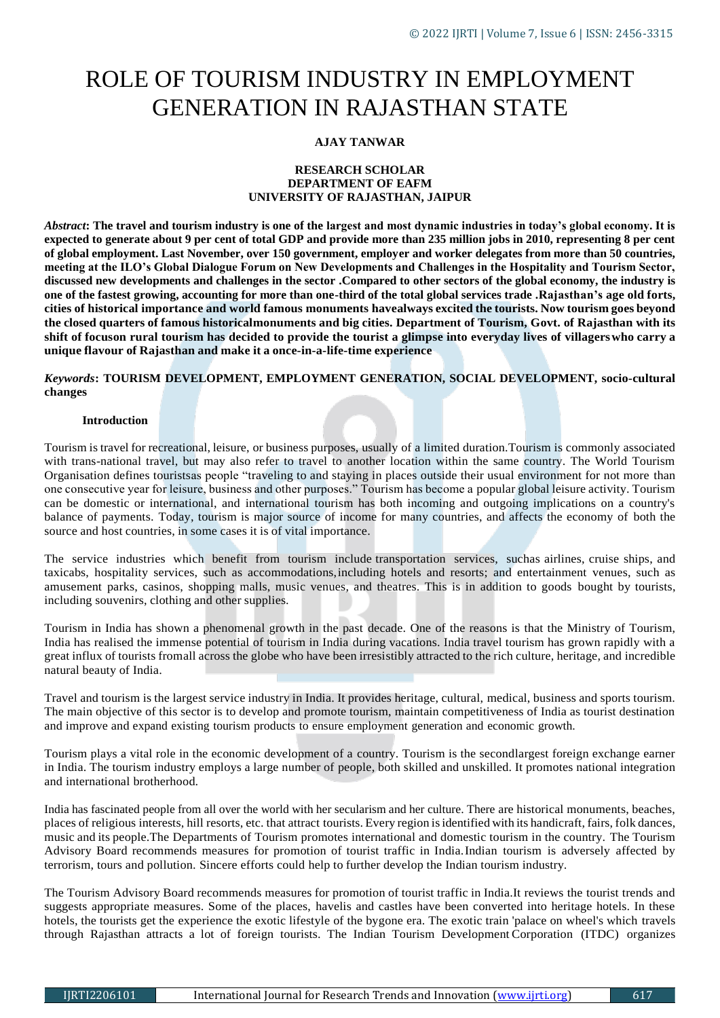# ROLE OF TOURISM INDUSTRY IN EMPLOYMENT GENERATION IN RAJASTHAN STATE

# **AJAY TANWAR**

### **RESEARCH SCHOLAR DEPARTMENT OF EAFM UNIVERSITY OF RAJASTHAN, JAIPUR**

*Abstract***: The travel and tourism industry is one of the largest and most dynamic industries in today's global economy. It is expected to generate about 9 per cent of total GDP and provide more than 235 million jobs in 2010, representing 8 per cent of global employment. Last November, over 150 government, employer and worker delegates from more than 50 countries, meeting at the ILO's Global Dialogue Forum on New Developments and Challenges in the Hospitality and Tourism Sector, discussed new developments and challenges in the sector .Compared to other sectors of the global economy, the industry is one of the fastest growing, accounting for more than one-third of the total global services trade .Rajasthan's age old forts,** cities of historical importance and world famous monuments have always excited the tourists. Now tourism goes beyond the closed quarters of famous historicalmonuments and big cities. Department of Tourism, Govt. of Rajasthan with its **shift of focuson rural tourism has decided to provide the tourist a glimpse into everyday lives of villagerswho carry a unique flavour of Rajasthan and make it a once-in-a-life-time experience**

# *Keywords***: TOURISM DEVELOPMENT, EMPLOYMENT GENERATION, SOCIAL DEVELOPMENT, socio-cultural changes**

### **Introduction**

Tourism is travel for recreational, leisure, or business purposes, usually of a limited duration.Tourism is commonly associated with trans-national travel, but may also refer to travel to another location within the same country. The World Tourism Organisation defines touristsas people "traveling to and staying in places outside their usual environment for not more than one consecutive year for leisure, business and other purposes." Tourism has become a popular global leisure activity. Tourism can be domestic or international, and international tourism has both incoming and outgoing implications on a country's balance of payments. Today, tourism is major source of income for many countries, and affects the economy of both the source and host countries, in some cases it is of vital importance.

The service industries which benefit from tourism include transportation services, suchas airlines, cruise ships, and taxicabs, hospitality services, such as accommodations,including hotels and resorts; and entertainment venues, such as amusement parks, casinos, shopping malls, music venues, and theatres. This is in addition to goods bought by tourists, including souvenirs, clothing and other supplies.

Tourism in India has shown a phenomenal growth in the past decade. One of the reasons is that the Ministry of Tourism, India has realised the immense potential of tourism in India during vacations. India travel tourism has grown rapidly with a great influx of tourists fromall across the globe who have been irresistibly attracted to the rich culture, heritage, and incredible natural beauty of India.

Travel and tourism is the largest service industry in India. It provides heritage, cultural, medical, business and sports tourism. The main objective of this sector is to develop and promote tourism, maintain competitiveness of India as tourist destination and improve and expand existing tourism products to ensure employment generation and economic growth.

Tourism plays a vital role in the economic development of a country. Tourism is the secondlargest foreign exchange earner in India. The tourism industry employs a large number of people, both skilled and unskilled. It promotes national integration and international brotherhood.

India has fascinated people from all over the world with her secularism and her culture. There are historical monuments, beaches, places of religious interests, hill resorts, etc. that attract tourists. Every region isidentified with its handicraft, fairs, folk dances, music and its people.The Departments of Tourism promotes international and domestic tourism in the country. The Tourism Advisory Board recommends measures for promotion of tourist traffic in India.Indian tourism is adversely affected by terrorism, tours and pollution. Sincere efforts could help to further develop the Indian tourism industry.

The Tourism Advisory Board recommends measures for promotion of tourist traffic in India.It reviews the tourist trends and suggests appropriate measures. Some of the places, havelis and castles have been converted into heritage hotels. In these hotels, the tourists get the experience the exotic lifestyle of the bygone era. The exotic train 'palace on wheel's which travels through Rajasthan attracts a lot of foreign tourists. The Indian Tourism Development Corporation (ITDC) organizes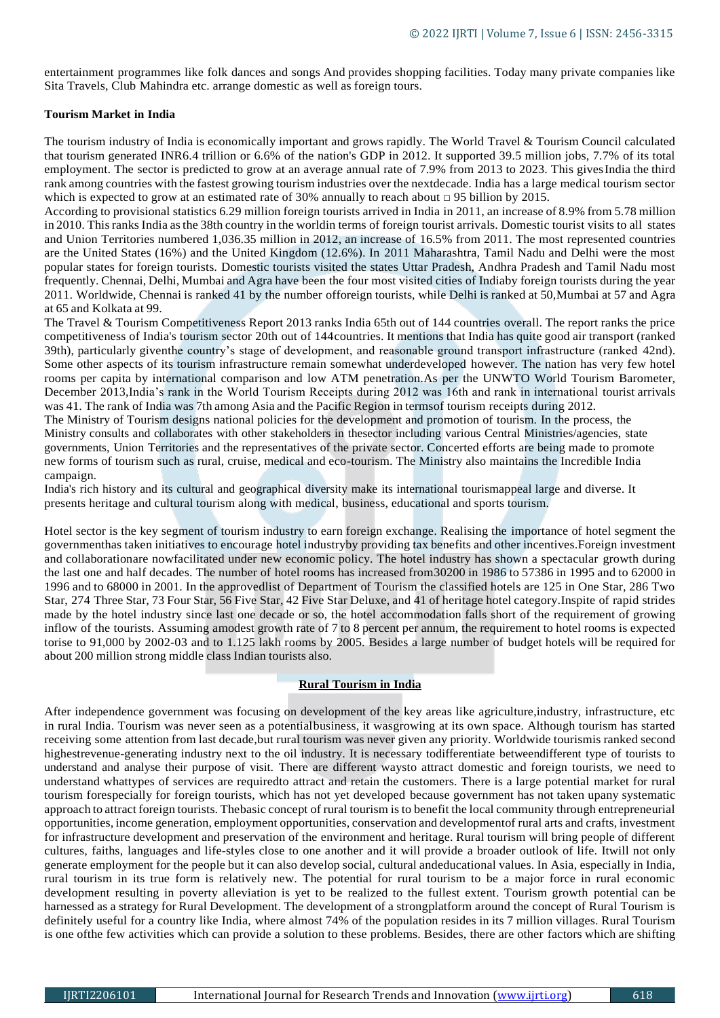entertainment programmes like folk dances and songs And provides shopping facilities. Today many private companies like Sita Travels, Club Mahindra etc. arrange domestic as well as foreign tours.

### **Tourism Market in India**

The tourism industry of India is economically important and grows rapidly. The World Travel & Tourism Council calculated that tourism generated INR6.4 trillion or 6.6% of the nation's GDP in 2012. It supported 39.5 million jobs, 7.7% of its total employment. The sector is predicted to grow at an average annual rate of 7.9% from 2013 to 2023. This gives India the third rank among countries with the fastest growing tourism industries over the nextdecade. India has a large medical tourism sector which is expected to grow at an estimated rate of 30% annually to reach about  $\Box$  95 billion by 2015.

According to provisional statistics 6.29 million foreign tourists arrived in India in 2011, an increase of 8.9% from 5.78 million in 2010. Thisranks India asthe 38th country in the worldin terms of foreign tourist arrivals. Domestic tourist visits to all states and Union Territories numbered 1,036.35 million in 2012, an increase of 16.5% from 2011. The most represented countries are the United States (16%) and the United Kingdom (12.6%). In 2011 Maharashtra, Tamil Nadu and Delhi were the most popular states for foreign tourists. Domestic tourists visited the states Uttar Pradesh, Andhra Pradesh and Tamil Nadu most frequently. Chennai, Delhi, Mumbai and Agra have been the four most visited cities of Indiaby foreign tourists during the year 2011. Worldwide, Chennai is ranked 41 by the number offoreign tourists, while Delhi is ranked at 50,Mumbai at 57 and Agra at 65 and Kolkata at 99.

The Travel & Tourism Competitiveness Report 2013 ranks India 65th out of 144 countries overall. The report ranks the price competitiveness of India's tourism sector 20th out of 144countries. It mentions that India has quite good air transport (ranked 39th), particularly giventhe country's stage of development, and reasonable ground transport infrastructure (ranked 42nd). Some other aspects of its tourism infrastructure remain somewhat underdeveloped however. The nation has very few hotel rooms per capita by international comparison and low ATM penetration.As per the UNWTO World Tourism Barometer, December 2013,India's rank in the World Tourism Receipts during 2012 was 16th and rank in international tourist arrivals was 41. The rank of India was 7th among Asia and the Pacific Region in termsof tourism receipts during 2012.

The Ministry of Tourism designs national policies for the development and promotion of tourism. In the process, the Ministry consults and collaborates with other stakeholders in thesector including various Central Ministries/agencies, state governments, Union Territories and the representatives of the private sector. Concerted efforts are being made to promote new forms of tourism such as rural, cruise, medical and eco-tourism. The Ministry also maintains the Incredible India campaign.

India's rich history and its cultural and geographical diversity make its international tourismappeal large and diverse. It presents heritage and cultural tourism along with medical, business, educational and sports tourism.

Hotel sector is the key segment of tourism industry to earn foreign exchange. Realising the importance of hotel segment the governmenthas taken initiatives to encourage hotel industryby providing tax benefits and other incentives.Foreign investment and collaborationare nowfacilitated under new economic policy. The hotel industry has shown a spectacular growth during the last one and half decades. The number of hotel rooms has increased from30200 in 1986 to 57386 in 1995 and to 62000 in 1996 and to 68000 in 2001. In the approvedlist of Department of Tourism the classified hotels are 125 in One Star, 286 Two Star, 274 Three Star, 73 Four Star, 56 Five Star, 42 Five Star Deluxe, and 41 of heritage hotel category.Inspite of rapid strides made by the hotel industry since last one decade or so, the hotel accommodation falls short of the requirement of growing inflow of the tourists. Assuming amodest growth rate of 7 to 8 percent per annum, the requirement to hotel rooms is expected torise to 91,000 by 2002-03 and to 1.125 lakh rooms by 2005. Besides a large number of budget hotels will be required for about 200 million strong middle class Indian tourists also.

### **Rural Tourism in India**

After independence government was focusing on development of the key areas like agriculture,industry, infrastructure, etc in rural India. Tourism was never seen as a potentialbusiness, it wasgrowing at its own space. Although tourism has started receiving some attention from last decade,but rural tourism was never given any priority. Worldwide tourismis ranked second highestrevenue-generating industry next to the oil industry. It is necessary todifferentiate betweendifferent type of tourists to understand and analyse their purpose of visit. There are different waysto attract domestic and foreign tourists, we need to understand whattypes of services are requiredto attract and retain the customers. There is a large potential market for rural tourism forespecially for foreign tourists, which has not yet developed because government has not taken upany systematic approach to attract foreign tourists. Thebasic concept of rural tourism is to benefit the local community through entrepreneurial opportunities, income generation, employment opportunities, conservation and developmentof rural arts and crafts, investment for infrastructure development and preservation of the environment and heritage. Rural tourism will bring people of different cultures, faiths, languages and life-styles close to one another and it will provide a broader outlook of life. Itwill not only generate employment for the people but it can also develop social, cultural andeducational values. In Asia, especially in India, rural tourism in its true form is relatively new. The potential for rural tourism to be a major force in rural economic development resulting in poverty alleviation is yet to be realized to the fullest extent. Tourism growth potential can be harnessed as a strategy for Rural Development. The development of a strongplatform around the concept of Rural Tourism is definitely useful for a country like India, where almost 74% of the population resides in its 7 million villages. Rural Tourism is one ofthe few activities which can provide a solution to these problems. Besides, there are other factors which are shifting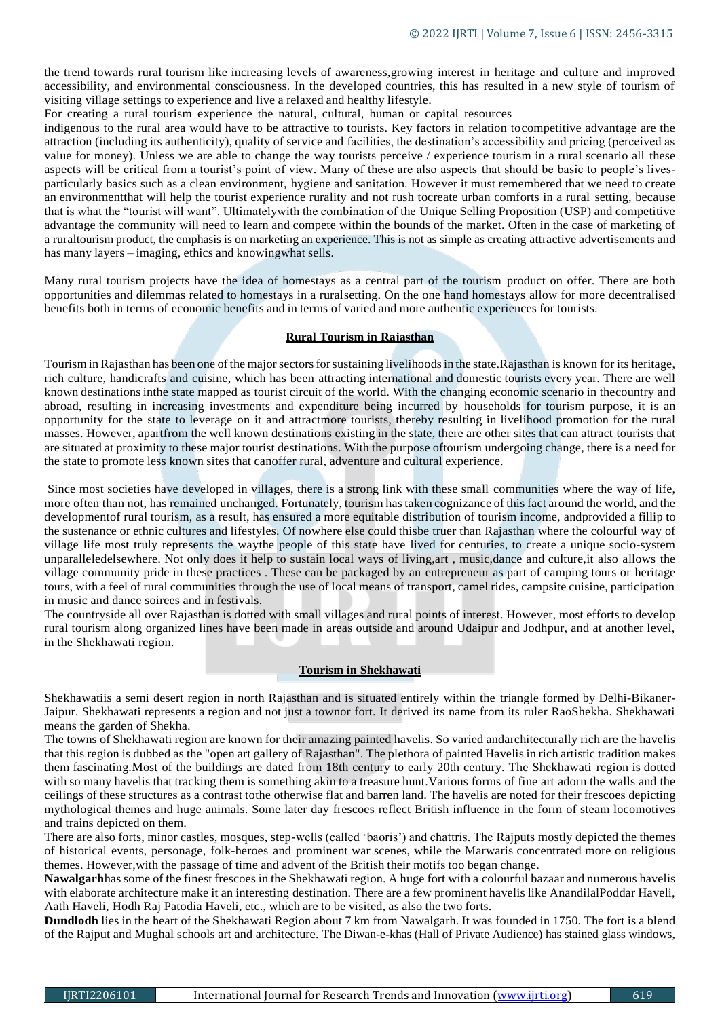the trend towards rural tourism like increasing levels of awareness,growing interest in heritage and culture and improved accessibility, and environmental consciousness. In the developed countries, this has resulted in a new style of tourism of visiting village settings to experience and live a relaxed and healthy lifestyle.

For creating a rural tourism experience the natural, cultural, human or capital resources

indigenous to the rural area would have to be attractive to tourists. Key factors in relation tocompetitive advantage are the attraction (including its authenticity), quality of service and facilities, the destination's accessibility and pricing (perceived as value for money). Unless we are able to change the way tourists perceive / experience tourism in a rural scenario all these aspects will be critical from a tourist's point of view. Many of these are also aspects that should be basic to people's livesparticularly basics such as a clean environment, hygiene and sanitation. However it must remembered that we need to create an environmentthat will help the tourist experience rurality and not rush tocreate urban comforts in a rural setting, because that is what the "tourist will want". Ultimatelywith the combination of the Unique Selling Proposition (USP) and competitive advantage the community will need to learn and compete within the bounds of the market. Often in the case of marketing of a ruraltourism product, the emphasis is on marketing an experience. This is not as simple as creating attractive advertisements and has many layers – imaging, ethics and knowingwhat sells.

Many rural tourism projects have the idea of homestays as a central part of the tourism product on offer. There are both opportunities and dilemmas related to homestays in a ruralsetting. On the one hand homestays allow for more decentralised benefits both in terms of economic benefits and in terms of varied and more authentic experiences for tourists.

### **Rural Tourism in Rajasthan**

Tourism inRajasthan has been one ofthe majorsectorsforsustaining livelihoodsin the state.Rajasthan is known for its heritage, rich culture, handicrafts and cuisine, which has been attracting international and domestic tourists every year. There are well known destinationsinthe state mapped as tourist circuit of the world. With the changing economic scenario in thecountry and abroad, resulting in increasing investments and expenditure being incurred by households for tourism purpose, it is an opportunity for the state to leverage on it and attractmore tourists, thereby resulting in livelihood promotion for the rural masses. However, apartfrom the well known destinations existing in the state, there are other sites that can attract tourists that are situated at proximity to these major tourist destinations. With the purpose oftourism undergoing change, there is a need for the state to promote less known sites that canoffer rural, adventure and cultural experience.

Since most societies have developed in villages, there is a strong link with these small communities where the way of life, more often than not, has remained unchanged. Fortunately, tourism hastaken cognizance of this fact around the world, and the developmentof rural tourism, as a result, has ensured a more equitable distribution of tourism income, andprovided a fillip to the sustenance or ethnic cultures and lifestyles. Of nowhere else could thisbe truer than Rajasthan where the colourful way of village life most truly represents the waythe people of this state have lived for centuries, to create a unique socio-system unparalleledelsewhere. Not only does it help to sustain local ways of living,art , music,dance and culture,it also allows the village community pride in these practices . These can be packaged by an entrepreneur as part of camping tours or heritage tours, with a feel of rural communities through the use of local means of transport, camel rides, campsite cuisine, participation in music and dance soirees and in festivals.

The countryside all over Rajasthan is dotted with small villages and rural points of interest. However, most efforts to develop rural tourism along organized lines have been made in areas outside and around Udaipur and Jodhpur, and at another level, in the Shekhawati region.

### **Tourism in Shekhawati**

Shekhawatiis a semi desert region in north Rajasthan and is situated entirely within the triangle formed by Delhi-Bikaner-Jaipur. Shekhawati represents a region and not just a townor fort. It derived its name from its ruler RaoShekha. Shekhawati means the garden of Shekha.

The towns of Shekhawati region are known for their amazing painted havelis. So varied andarchitecturally rich are the havelis that this region is dubbed as the "open art gallery of Rajasthan". The plethora of painted Havelis in rich artistic tradition makes them fascinating.Most of the buildings are dated from 18th century to early 20th century. The Shekhawati region is dotted with so many havelis that tracking them is something akin to a treasure hunt.Various forms of fine art adorn the walls and the ceilings of these structures as a contrast tothe otherwise flat and barren land. The havelis are noted for their frescoes depicting mythological themes and huge animals. Some later day frescoes reflect British influence in the form of steam locomotives and trains depicted on them.

There are also forts, minor castles, mosques, step-wells (called 'baoris') and chattris. The Rajputs mostly depicted the themes of historical events, personage, folk-heroes and prominent war scenes, while the Marwaris concentrated more on religious themes. However,with the passage of time and advent of the British their motifs too began change.

**Nawalgarh**has some of the finest frescoes in the Shekhawati region. A huge fort with a colourful bazaar and numerous havelis with elaborate architecture make it an interesting destination. There are a few prominent havelis like AnandilalPoddar Haveli, Aath Haveli, Hodh Raj Patodia Haveli, etc., which are to be visited, as also the two forts.

**Dundlodh** lies in the heart of the Shekhawati Region about 7 km from Nawalgarh. It was founded in 1750. The fort is a blend of the Rajput and Mughal schools art and architecture. The Diwan-e-khas (Hall of Private Audience) has stained glass windows,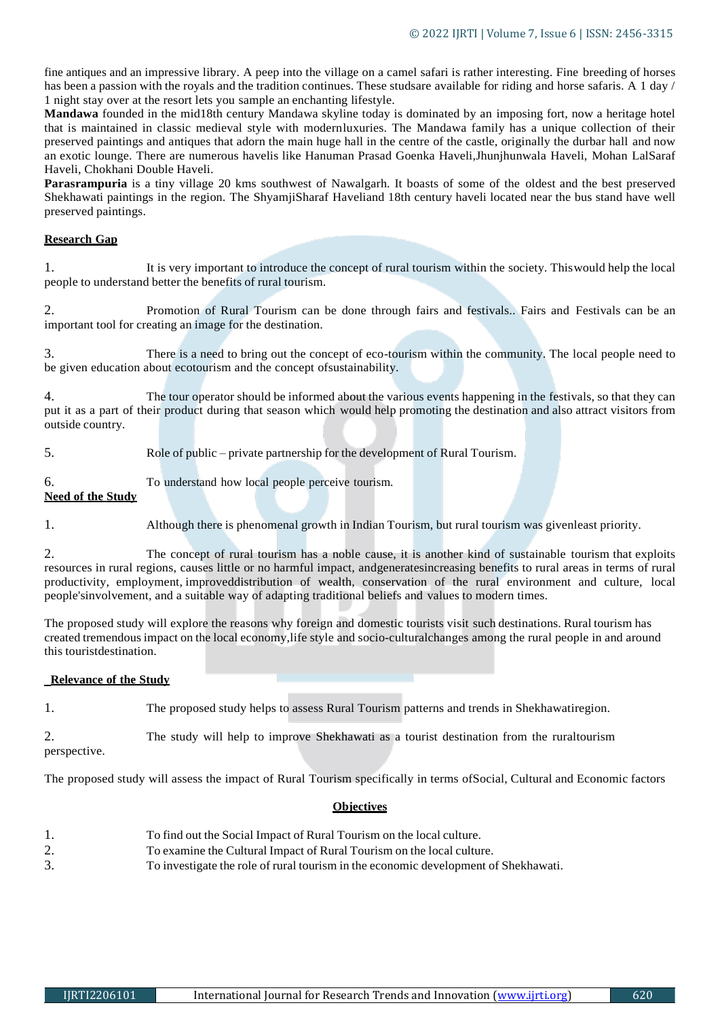fine antiques and an impressive library. A peep into the village on a camel safari is rather interesting. Fine breeding of horses has been a passion with the royals and the tradition continues. These studsare available for riding and horse safaris. A 1 day / 1 night stay over at the resort lets you sample an enchanting lifestyle.

**Mandawa** founded in the mid18th century Mandawa skyline today is dominated by an imposing fort, now a heritage hotel that is maintained in classic medieval style with modernluxuries. The Mandawa family has a unique collection of their preserved paintings and antiques that adorn the main huge hall in the centre of the castle, originally the durbar hall and now an exotic lounge. There are numerous havelis like Hanuman Prasad Goenka Haveli,Jhunjhunwala Haveli, Mohan LalSaraf Haveli, Chokhani Double Haveli.

**Parasrampuria** is a tiny village 20 kms southwest of Nawalgarh. It boasts of some of the oldest and the best preserved Shekhawati paintings in the region. The ShyamjiSharaf Haveliand 18th century haveli located near the bus stand have well preserved paintings.

# **Research Gap**

1. It is very important to introduce the concept of rural tourism within the society. Thiswould help the local people to understand better the benefits of rural tourism.

2. Promotion of Rural Tourism can be done through fairs and festivals.. Fairs and Festivals can be an important tool for creating an image for the destination.

3. There is a need to bring out the concept of eco-tourism within the community. The local people need to be given education about ecotourism and the concept ofsustainability.

4. The tour operator should be informed about the various events happening in the festivals, so that they can put it as a part of their product during that season which would help promoting the destination and also attract visitors from outside country.

5. Role of public – private partnership for the development of Rural Tourism.

6. To understand how local people perceive tourism.

# **Need of the Study**

1. Although there is phenomenal growth in Indian Tourism, but rural tourism was givenleast priority.

2. The concept of rural tourism has a noble cause, it is another kind of sustainable tourism that exploits resources in rural regions, causes little or no harmful impact, andgeneratesincreasing benefits to rural areas in terms of rural productivity, employment, improveddistribution of wealth, conservation of the rural environment and culture, local people'sinvolvement, and a suitable way of adapting traditional beliefs and values to modern times.

The proposed study will explore the reasons why foreign and domestic tourists visit such destinations. Rural tourism has created tremendous impact on the local economy,life style and socio-culturalchanges among the rural people in and around this touristdestination.

# **Relevance of the Study**

1. The proposed study helps to assess Rural Tourism patterns and trends in Shekhawatiregion.

2. The study will help to improve Shekhawati as a tourist destination from the ruraltourism

perspective.

The proposed study will assess the impact of Rural Tourism specifically in terms ofSocial, Cultural and Economic factors

# **Objectives**

1. To find out the Social Impact of Rural Tourism on the local culture. 2. To examine the Cultural Impact of Rural Tourism on the local culture. 3. To investigate the role of rural tourism in the economic development of Shekhawati.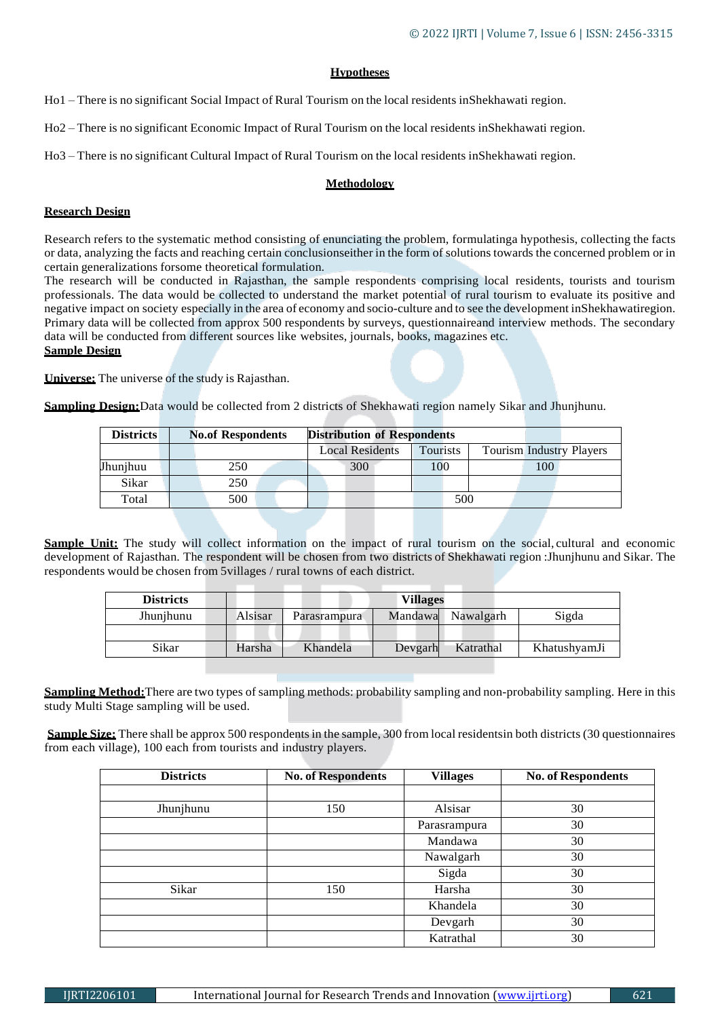# **Hypotheses**

Ho1 – There is no significant Social Impact of Rural Tourism on the local residents inShekhawati region.

Ho2 – There is no significant Economic Impact of Rural Tourism on the local residents inShekhawati region.

Ho3 – There is no significant Cultural Impact of Rural Tourism on the local residents inShekhawati region.

### **Methodology**

# **Research Design**

Research refers to the systematic method consisting of enunciating the problem, formulatinga hypothesis, collecting the facts or data, analyzing the facts and reaching certain conclusionseither in the form of solutions towards the concerned problem or in certain generalizations forsome theoretical formulation.

The research will be conducted in Rajasthan, the sample respondents comprising local residents, tourists and tourism professionals. The data would be collected to understand the market potential of rural tourism to evaluate its positive and negative impact on society especially in the area of economy and socio-culture and to see the development inShekhawatiregion. Primary data will be collected from approx 500 respondents by surveys, questionnaireand interview methods. The secondary data will be conducted from different sources like websites, journals, books, magazines etc. **Sample Design**

**Universe:** The universe of the study is Rajasthan.

**Sampling Design:**Data would be collected from 2 districts of Shekhawati region namely Sikar and Jhunjhunu.

| <b>Districts</b> | <b>No.of Respondents</b> | <b>Distribution of Respondents</b> |          |     |     |                                 |
|------------------|--------------------------|------------------------------------|----------|-----|-----|---------------------------------|
|                  |                          | <b>Local Residents</b>             | Tourists |     |     | <b>Tourism Industry Players</b> |
| Jhunjhuu         | 250                      | 300                                | 100      |     | 100 |                                 |
| Sikar            | 250                      |                                    |          |     |     |                                 |
| Total            | 500                      |                                    |          | 500 |     |                                 |

**Sample Unit:** The study will collect information on the impact of rural tourism on the social, cultural and economic development of Rajasthan. The respondent will be chosen from two districts of Shekhawati region :Jhunjhunu and Sikar. The respondents would be chosen from 5villages / rural towns of each district.

| <b>Districts</b> | Villages |              |         |           |              |
|------------------|----------|--------------|---------|-----------|--------------|
| Jhunjhunu        | Alsisar  | Parasrampura | Mandawa | Nawalgarh | Sigda        |
|                  |          |              |         |           |              |
| Sikar            | Harsha   | Khandela     | Devgarh | Katrathal | KhatushyamJi |

**Sampling Method:**There are two types of sampling methods: probability sampling and non-probability sampling. Here in this study Multi Stage sampling will be used.

**Sample Size:** There shall be approx 500 respondents in the sample, 300 from local residentsin both districts (30 questionnaires from each village), 100 each from tourists and industry players.

| <b>Districts</b> | <b>No. of Respondents</b> | <b>Villages</b> | <b>No. of Respondents</b> |
|------------------|---------------------------|-----------------|---------------------------|
|                  |                           |                 |                           |
| Jhunjhunu        | 150                       | Alsisar         | 30                        |
|                  |                           | Parasrampura    | 30                        |
|                  |                           | Mandawa         | 30                        |
|                  |                           | Nawalgarh       | 30                        |
|                  |                           | Sigda           | 30                        |
| Sikar            | 150                       | Harsha          | 30                        |
|                  |                           | Khandela        | 30                        |
|                  |                           | Devgarh         | 30                        |
|                  |                           | Katrathal       | 30                        |